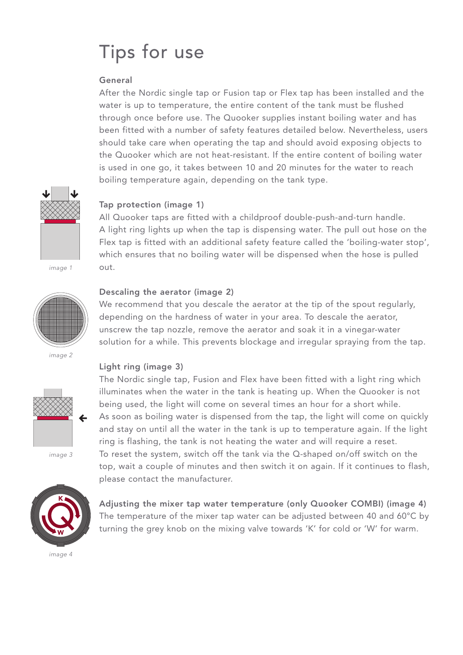# Tips for use

# **General**

After the Nordic single tap or Fusion tap or Flex tap has been installed and the water is up to temperature, the entire content of the tank must be flushed through once before use. The Quooker supplies instant boiling water and has been fitted with a number of safety features detailed below. Nevertheless, users should take care when operating the tap and should avoid exposing objects to the Quooker which are not heat-resistant. If the entire content of boiling water is used in one go, it takes between 10 and 20 minutes for the water to reach boiling temperature again, depending on the tank type.



# **Tap protection (image 1)**

All Quooker taps are fitted with a childproof double-push-and-turn handle. A light ring lights up when the tap is dispensing water. The pull out hose on the Flex tap is fitted with an additional safety feature called the 'boiling-water stop', which ensures that no boiling water will be dispensed when the hose is pulled out.



#### **Descaling the aerator (image 2)**

**Light ring (image 3)**

We recommend that you descale the aerator at the tip of the spout regularly, depending on the hardness of water in your area. To descale the aerator, unscrew the tap nozzle, remove the aerator and soak it in a vinegar-water solution for a while. This prevents blockage and irregular spraying from the tap.

image 2



image 3



The Nordic single tap, Fusion and Flex have been fitted with a light ring which illuminates when the water in the tank is heating up. When the Quooker is not being used, the light will come on several times an hour for a short while. As soon as boiling water is dispensed from the tap, the light will come on quickly and stay on until all the water in the tank is up to temperature again. If the light ring is flashing, the tank is not heating the water and will require a reset. To reset the system, switch off the tank via the Q-shaped on/off switch on the top, wait a couple of minutes and then switch it on again. If it continues to flash, please contact the manufacturer.

**Adjusting the mixer tap water temperature (only Quooker COMBI) (image 4)** The temperature of the mixer tap water can be adjusted between 40 and 60°C by turning the grey knob on the mixing valve towards 'K' for cold or 'W' for warm.

image 4